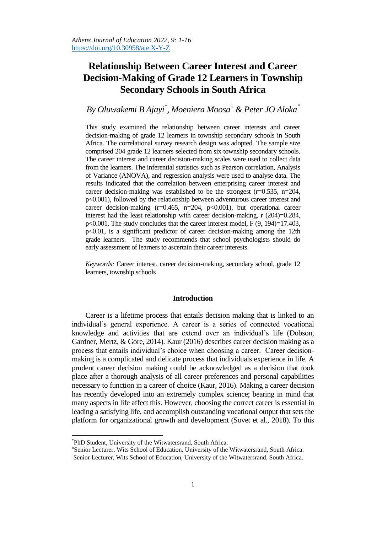# **Relationship Between Career Interest and Career Decision-Making of Grade 12 Learners in Township Secondary Schools in South Africa**

# *By Oluwakemi B Ajayi\* , Moeniera Moosa<sup>±</sup> & Peter JO Aloka*

This study examined the relationship between career interests and career decision-making of grade 12 learners in township secondary schools in South Africa. The correlational survey research design was adopted. The sample size comprised 204 grade 12 learners selected from six township secondary schools. The career interest and career decision-making scales were used to collect data from the learners. The inferential statistics such as Pearson correlation, Analysis of Variance (ANOVA), and regression analysis were used to analyse data. The results indicated that the correlation between enterprising career interest and career decision-making was established to be the strongest  $(r=0.535, n=204,$ p<0.001), followed by the relationship between adventurous career interest and career decision-making  $(r=0.465, n=204, p<0.001)$ , but operational career interest had the least relationship with career decision-making, r (204)=0.284, p<0.001. The study concludes that the career interest model, F (9, 194)=17.403, p<0.01, is a significant predictor of career decision-making among the 12th grade learners. The study recommends that school psychologists should do early assessment of learners to ascertain their career interests.

*Keywords:* Career interest, career decision-making, secondary school, grade 12 learners, township schools

#### **Introduction**

Career is a lifetime process that entails decision making that is linked to an individual's general experience. A career is a series of connected vocational knowledge and activities that are extend over an individual's life (Dobson, Gardner, Mertz, & Gore, 2014). Kaur (2016) describes career decision making as a process that entails individual's choice when choosing a career. Career decisionmaking is a complicated and delicate process that individuals experience in life. A prudent career decision making could be acknowledged as a decision that took place after a thorough analysis of all career preferences and personal capabilities necessary to function in a career of choice (Kaur, 2016). Making a career decision has recently developed into an extremely complex science; bearing in mind that many aspects in life affect this. However, choosing the correct career is essential in leading a satisfying life, and accomplish outstanding vocational output that sets the platform for organizational growth and development (Sovet et al., 2018). To this

 $\overline{a}$ 

± Senior Lecturer, Wits School of Education, University of the Witwatersrand, South Africa.

<sup>\*</sup> PhD Student, University of the Witwatersrand, South Africa.

Senior Lecturer, Wits School of Education, University of the Witwatersrand, South Africa.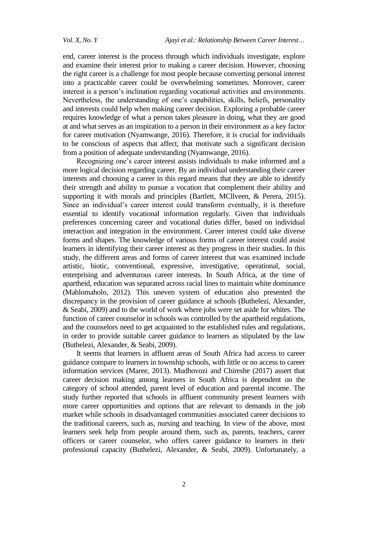end, career interest is the process through which individuals investigate, explore and examine their interest prior to making a career decision. However, choosing the right career is a challenge for most people because converting personal interest into a practicable career could be overwhelming sometimes. Moreover, career interest is a person's inclination regarding vocational activities and environments. Nevertheless, the understanding of one's capabilities, skills, beliefs, personality and interests could help when making career decision. Exploring a probable career requires knowledge of what a person takes pleasure in doing, what they are good at and what serves as an inspiration to a person in their environment as a key factor for career motivation (Nyamwange, 2016). Therefore, it is crucial for individuals to be conscious of aspects that affect, that motivate such a significant decision from a position of adequate understanding (Nyamwange, 2016).

Recognizing one's career interest assists individuals to make informed and a more logical decision regarding career. By an individual understanding their career interests and choosing a career in this regard means that they are able to identify their strength and ability to pursue a vocation that complement their ability and supporting it with morals and principles (Bartlett, MCllveen, & Perera, 2015). Since an individual's career interest could transform eventually, it is therefore essential to identify vocational information regularly. Given that individuals preferences concerning career and vocational duties differ, based on individual interaction and integration in the environment. Career interest could take diverse forms and shapes. The knowledge of various forms of career interest could assist learners in identifying their career interest as they progress in their studies. In this study, the different areas and forms of career interest that was examined include artistic, biotic, conventional, expressive, investigative, operational, social, enterprising and adventurous career interests. In South Africa, at the time of apartheid, education was separated across racial lines to maintain white dominance (Mahlomaholo, 2012). This uneven system of education also presented the discrepancy in the provision of career guidance at schools (Buthelezi, Alexander, & Seabi, 2009) and to the world of work where jobs were set aside for whites. The function of career counselor in schools was controlled by the apartheid regulations, and the counselors need to get acquainted to the established rules and regulations, in order to provide suitable career guidance to learners as stipulated by the law (Buthelezi, Alexander, & Seabi, 2009).

It seems that learners in affluent areas of South Africa had access to career guidance compare to learners in township schools, with little or no access to career information services (Maree, 2013). Mudhovozi and Chireshe (2017) assert that career decision making among learners in South Africa is dependent on the category of school attended, parent level of education and parental income. The study further reported that schools in affluent community present learners with more career opportunities and options that are relevant to demands in the job market while schools in disadvantaged communities associated career decisions to the traditional careers, such as, nursing and teaching. In view of the above, most learners seek help from people around them, such as, parents, teachers, career officers or career counselor, who offers career guidance to learners in their professional capacity (Buthelezi, Alexander, & Seabi, 2009). Unfortunately, a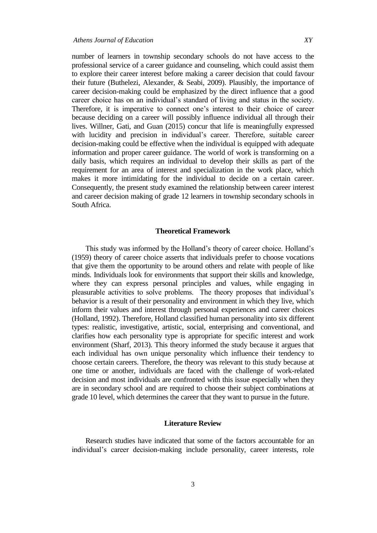number of learners in township secondary schools do not have access to the professional service of a career guidance and counseling, which could assist them to explore their career interest before making a career decision that could favour their future (Buthelezi, Alexander, & Seabi, 2009). Plausibly, the importance of career decision-making could be emphasized by the direct influence that a good career choice has on an individual's standard of living and status in the society. Therefore, it is imperative to connect one's interest to their choice of career because deciding on a career will possibly influence individual all through their lives. Willner, Gati, and Guan (2015) concur that life is meaningfully expressed with lucidity and precision in individual's career. Therefore, suitable career decision-making could be effective when the individual is equipped with adequate information and proper career guidance. The world of work is transforming on a daily basis, which requires an individual to develop their skills as part of the requirement for an area of interest and specialization in the work place, which makes it more intimidating for the individual to decide on a certain career. Consequently, the present study examined the relationship between career interest and career decision making of grade 12 learners in township secondary schools in South Africa.

#### **Theoretical Framework**

This study was informed by the Holland's theory of career choice. Holland's (1959) theory of career choice asserts that individuals prefer to choose vocations that give them the opportunity to be around others and relate with people of like minds. Individuals look for environments that support their skills and knowledge, where they can express personal principles and values, while engaging in pleasurable activities to solve problems. The theory proposes that individual's behavior is a result of their personality and environment in which they live, which inform their values and interest through personal experiences and career choices (Holland, 1992). Therefore, Holland classified human personality into six different types: realistic, investigative, artistic, social, enterprising and conventional, and clarifies how each personality type is appropriate for specific interest and work environment (Sharf, 2013). This theory informed the study because it argues that each individual has own unique personality which influence their tendency to choose certain careers. Therefore, the theory was relevant to this study because at one time or another, individuals are faced with the challenge of work-related decision and most individuals are confronted with this issue especially when they are in secondary school and are required to choose their subject combinations at grade 10 level, which determines the career that they want to pursue in the future.

# **Literature Review**

Research studies have indicated that some of the factors accountable for an individual's career decision-making include personality, career interests, role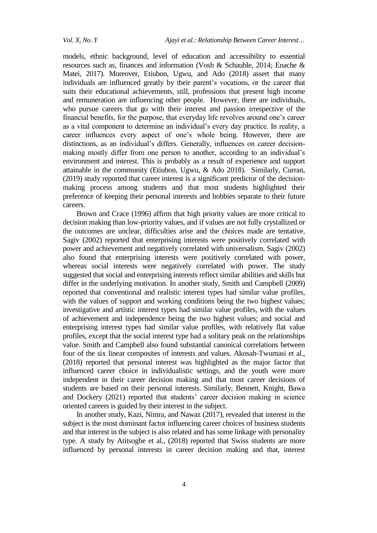models, ethnic background, level of education and accessibility to essential resources such as, finances and information (Vosh & Schauble, 2014; Enache & Matei, 2017). Moreover, Etiubon, Ugwu, and Ado (2018) assert that many individuals are influenced greatly by their parent's vocations, or the career that suits their educational achievements, still, professions that present high income and remuneration are influencing other people. However, there are individuals, who pursue careers that go with their interest and passion irrespective of the financial benefits, for the purpose, that everyday life revolves around one's career as a vital component to determine an individual's every day practice. In reality, a career influences every aspect of one's whole being. However, there are distinctions, as an individual's differs. Generally, influences on career decisionmaking mostly differ from one person to another, according to an individual's environment and interest. This is probably as a result of experience and support attainable in the community (Etiubon, Ugwu, & Ado 2018). Similarly, Curran, (2019) study reported that career interest is a significant predictor of the decisionmaking process among students and that most students highlighted their preference of keeping their personal interests and hobbies separate to their future careers.

Brown and Crace (1996) affirm that high priority values are more critical to decision making than low-priority values, and if values are not fully crystallized or the outcomes are unclear, difficulties arise and the choices made are tentative. Sagiv (2002) reported that enterprising interests were positively correlated with power and achievement and negatively correlated with universalism. Sagiv (2002) also found that enterprising interests were positively correlated with power, whereas social interests were negatively correlated with power. The study suggested that social and enterprising interests reflect similar abilities and skills but differ in the underlying motivation. In another study, Smith and Campbell (2009) reported that conventional and realistic interest types had similar value profiles, with the values of support and working conditions being the two highest values; investigative and artistic interest types had similar value profiles, with the values of achievement and independence being the two highest values; and social and enterprising interest types had similar value profiles, with relatively flat value profiles, except that the social interest type had a solitary peak on the relationships value. Smith and Campbell also found substantial canonical correlations between four of the six linear composites of interests and values. Akosah-Twumasi et al., (2018) reported that personal interest was highlighted as the major factor that influenced career choice in individualistic settings, and the youth were more independent in their career decision making and that most career decisions of students are based on their personal interests. Similarly, Bennett, Knight, Bawa and Dockery (2021) reported that students' career decision making in science oriented careers is guided by their interest in the subject.

In another study, Kazi, Nimra, and Nawaz (2017), revealed that interest in the subject is the most dominant factor influencing career choices of business students and that interest in the subject is also related and has some linkage with personality type. A study by Atitsogbe et al., (2018) reported that Swiss students are more influenced by personal interests in career decision making and that, interest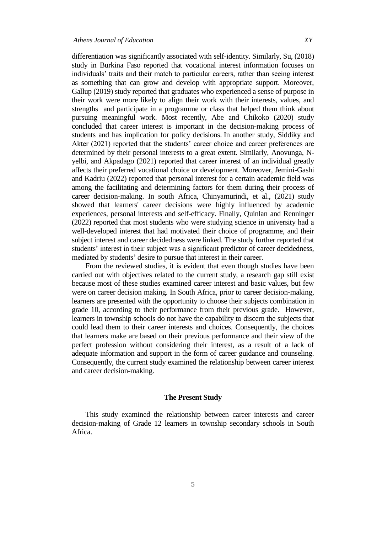differentiation was significantly associated with self-identity. Similarly, Su, [\(2018\)](https://link.springer.com/article/10.1007/s10734-021-00804-6#ref-CR45) study in Burkina Faso reported that vocational interest information focuses on individuals' traits and their match to particular careers, rather than seeing interest as something that can grow and develop with appropriate support. Moreover, Gallup [\(2019\)](https://link.springer.com/article/10.1007/s10734-021-00804-6#ref-CR20) study reported that graduates who experienced a sense of purpose in their work were more likely to align their work with their interests, values, and strengths and participate in a programme or class that helped them think about pursuing meaningful work. Most recently, Abe and Chikoko (2020) study concluded that career interest is important in the decision-making process of students and has implication for policy decisions. In another study, Siddiky and Akter (2021) reported that the students' career choice and career preferences are determined by their personal interests to a great extent. Similarly, Anovunga, Nyelbi, and Akpadago (2021) reported that career interest of an individual greatly affects their preferred vocational choice or development. Moreover, Jemini-Gashi and Kadriu (2022) reported that personal interest for a certain academic field was among the facilitating and determining factors for them during their process of career decision-making. In south Africa, Chinyamurindi, et al., (2021) study showed that learners' career decisions were highly influenced by academic experiences, personal interests and self-efficacy. Finally, Quinlan and Renninger (2022) reported that most students who were studying science in university had a well-developed interest that had motivated their choice of programme, and their subject interest and career decidedness were linked. The study further reported that students' interest in their subject was a significant predictor of career decidedness, mediated by students' desire to pursue that interest in their career.

From the reviewed studies, it is evident that even though studies have been carried out with objectives related to the current study, a research gap still exist because most of these studies examined career interest and basic values, but few were on career decision making. In South Africa, prior to career decision-making, learners are presented with the opportunity to choose their subjects combination in grade 10, according to their performance from their previous grade. However, learners in township schools do not have the capability to discern the subjects that could lead them to their career interests and choices. Consequently, the choices that learners make are based on their previous performance and their view of the perfect profession without considering their interest, as a result of a lack of adequate information and support in the form of career guidance and counseling. Consequently, the current study examined the relationship between career interest and career decision-making.

#### **The Present Study**

This study examined the relationship between career interests and career decision-making of Grade 12 learners in township secondary schools in South Africa.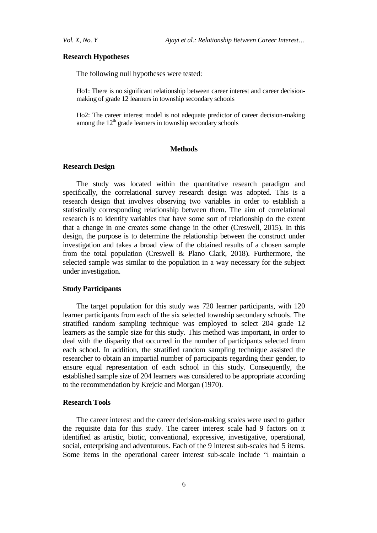#### **Research Hypotheses**

The following null hypotheses were tested:

Ho1: There is no significant relationship between career interest and career decisionmaking of grade 12 learners in township secondary schools

Ho2: The career interest model is not adequate predictor of career decision-making among the  $12<sup>th</sup>$  grade learners in township secondary schools

#### **Methods**

#### **Research Design**

The study was located within the quantitative research paradigm and specifically, the correlational survey research design was adopted. This is a research design that involves observing two variables in order to establish a statistically corresponding relationship between them. The aim of correlational research is to identify variables that have some sort of relationship do the extent that a change in one creates some change in the other (Creswell, 2015). In this design, the purpose is to determine the relationship between the construct under investigation and takes a broad view of the obtained results of a chosen sample from the total population (Creswell & Plano Clark, 2018). Furthermore, the selected sample was similar to the population in a way necessary for the subject under investigation.

# **Study Participants**

The target population for this study was 720 learner participants, with 120 learner participants from each of the six selected township secondary schools. The stratified random sampling technique was employed to select 204 grade 12 learners as the sample size for this study. This method was important, in order to deal with the disparity that occurred in the number of participants selected from each school. In addition, the stratified random sampling technique assisted the researcher to obtain an impartial number of participants regarding their gender, to ensure equal representation of each school in this study. Consequently, the established sample size of 204 learners was considered to be appropriate according to the recommendation by Krejcie and Morgan (1970).

### **Research Tools**

The career interest and the career decision-making scales were used to gather the requisite data for this study. The career interest scale had 9 factors on it identified as artistic, biotic, conventional, expressive, investigative, operational, social, enterprising and adventurous. Each of the 9 interest sub-scales had 5 items. Some items in the operational career interest sub-scale include "i maintain a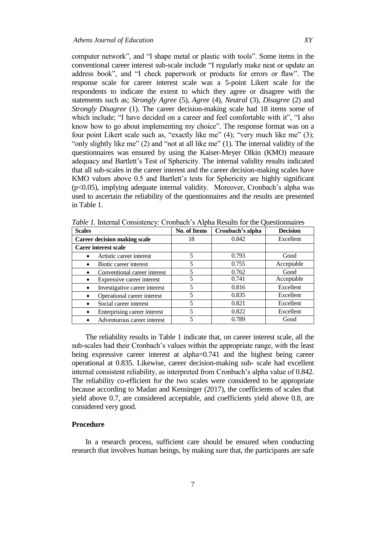computer network", and "I shape metal or plastic with tools". Some items in the conventional career interest sub-scale include "I regularly make neat or update an address book", and "I check paperwork or products for errors or flaw". The response scale for career interest scale was a 5-point Likert scale for the respondents to indicate the extent to which they agree or disagree with the statements such as; *Strongly Agree* (5), *Agree* (4), *Neutral* (3), *Disagree* (2) and *Strongly Disagree* (1). The career decision-making scale had 18 items some of which include; "I have decided on a career and feel comfortable with it", "I also know how to go about implementing my choice". The response format was on a four point Likert scale such as, "exactly like me"  $(4)$ ; "very much like me"  $(3)$ ; "only slightly like me"  $(2)$  and "not at all like me"  $(1)$ . The internal validity of the questionnaires was ensured by using the Kaiser-Meyer Olkin (KMO) measure adequacy and Bartlett's Test of Sphericity. The internal validity results indicated that all sub-scales in the career interest and the career decision-making scales have KMO values above 0.5 and Bartlett's tests for Sphericity are highly significant (p<0.05), implying adequate internal validity. Moreover, Cronbach's alpha was used to ascertain the reliability of the questionnaires and the results are presented in Table 1.

| <b>Scales</b>                       | Cronbach's alpha<br><b>No. of Items</b> |       | <b>Decision</b> |  |
|-------------------------------------|-----------------------------------------|-------|-----------------|--|
| <b>Career decision making scale</b> | 18                                      | 0.842 | Excellent       |  |
| <b>Carer interest scale</b>         |                                         |       |                 |  |
| Artistic career interest            | 0.793                                   |       | Good            |  |
| Biotic career interest              | 5                                       | 0.755 | Acceptable      |  |
| Conventional career interest        |                                         | 0.762 | Good            |  |
| Expressive career interest          |                                         | 0.741 | Acceptable      |  |
| Investigative career interest       | 5                                       | 0.816 | Excellent       |  |
| Operational career interest         | 5                                       | 0.835 | Excellent       |  |
| Social career interest              | 5                                       | 0.821 | Excellent       |  |
| Enterprising career interest        | 5                                       | 0.822 | Excellent       |  |
| Adventurous career interest         |                                         | 0.789 | Good            |  |

*Table 1.* Internal Consistency: Cronbach's Alpha Results for the Questionnaires

The reliability results in Table 1 indicate that, on career interest scale, all the sub-scales had their Cronbach's values within the appropriate range, with the least being expressive career interest at alpha=0.741 and the highest being career operational at 0.835. Likewise, career decision-making sub- scale had excellent internal consistent reliability, as interpreted from Cronbach's alpha value of 0.842. The reliability co-efficient for the two scales were considered to be appropriate because according to Madan and Kensinger (2017), the coefficients of scales that yield above 0.7, are considered acceptable, and coefficients yield above 0.8, are considered very good.

#### **Procedure**

In a research process, sufficient care should be ensured when conducting research that involves human beings, by making sure that, the participants are safe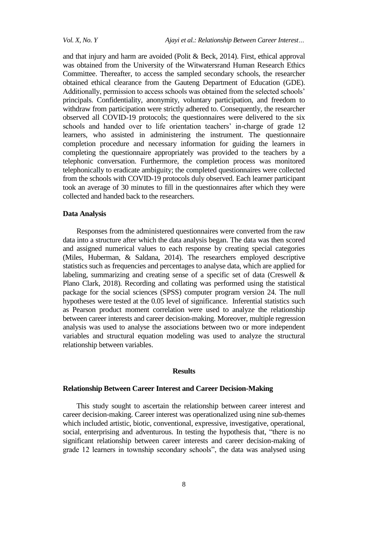and that injury and harm are avoided (Polit & Beck, 2014). First, ethical approval was obtained from the University of the Witwatersrand Human Research Ethics Committee. Thereafter, to access the sampled secondary schools, the researcher obtained ethical clearance from the Gauteng Department of Education (GDE). Additionally, permission to access schools was obtained from the selected schools' principals. Confidentiality, anonymity, voluntary participation, and freedom to withdraw from participation were strictly adhered to. Consequently, the researcher observed all COVID-19 protocols; the questionnaires were delivered to the six schools and handed over to life orientation teachers' in-charge of grade 12 learners, who assisted in administering the instrument. The questionnaire completion procedure and necessary information for guiding the learners in completing the questionnaire appropriately was provided to the teachers by a telephonic conversation. Furthermore, the completion process was monitored telephonically to eradicate ambiguity; the completed questionnaires were collected from the schools with COVID-19 protocols duly observed. Each learner participant took an average of 30 minutes to fill in the questionnaires after which they were collected and handed back to the researchers.

### **Data Analysis**

Responses from the administered questionnaires were converted from the raw data into a structure after which the data analysis began. The data was then scored and assigned numerical values to each response by creating special categories (Miles, Huberman, & Saldana, 2014). The researchers employed descriptive statistics such as frequencies and percentages to analyse data, which are applied for labeling, summarizing and creating sense of a specific set of data (Creswell & Plano Clark, 2018). Recording and collating was performed using the statistical package for the social sciences (SPSS) computer program version 24. The null hypotheses were tested at the 0.05 level of significance. Inferential statistics such as Pearson product moment correlation were used to analyze the relationship between career interests and career decision-making. Moreover, multiple regression analysis was used to analyse the associations between two or more independent variables and structural equation modeling was used to analyze the structural relationship between variables.

### **Results**

# **Relationship Between Career Interest and Career Decision-Making**

This study sought to ascertain the relationship between career interest and career decision-making. Career interest was operationalized using nine sub-themes which included artistic, biotic, conventional, expressive, investigative, operational, social, enterprising and adventurous. In testing the hypothesis that, "there is no significant relationship between career interests and career decision-making of grade 12 learners in township secondary schools", the data was analysed using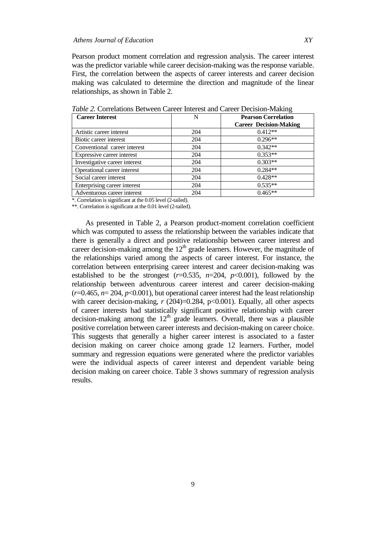Pearson product moment correlation and regression analysis. The career interest was the predictor variable while career decision-making was the response variable. First, the correlation between the aspects of career interests and career decision making was calculated to determine the direction and magnitude of the linear relationships, as shown in Table 2.

| <b>Career Interest</b>        | N   | <b>Pearson Correlation</b>    |  |  |
|-------------------------------|-----|-------------------------------|--|--|
|                               |     | <b>Career Decision-Making</b> |  |  |
| Artistic career interest      | 204 | $0.412**$                     |  |  |
| Biotic career interest        | 204 | $0.296**$                     |  |  |
| Conventional career interest  | 204 | $0.342**$                     |  |  |
| Expressive career interest    | 204 | $0.353**$                     |  |  |
| Investigative career interest | 204 | $0.303**$                     |  |  |
| Operational career interest   | 204 | $0.284**$                     |  |  |
| Social career interest        | 204 | $0.428**$                     |  |  |
| Enterprising career interest  | 204 | $0.535**$                     |  |  |
| Adventurous career interest   | 204 | $0.465**$                     |  |  |

*Table 2.* Correlations Between Career Interest and Career Decision-Making

\*. Correlation is significant at the 0.05 level (2-tailed).

\*\*. Correlation is significant at the 0.01 level (2-tailed).

As presented in Table 2, a Pearson product-moment correlation coefficient which was computed to assess the relationship between the variables indicate that there is generally a direct and positive relationship between career interest and career decision-making among the  $12<sup>th</sup>$  grade learners. However, the magnitude of the relationships varied among the aspects of career interest. For instance, the correlation between enterprising career interest and career decision-making was established to be the strongest  $(r=0.535, n=204, p<0.001)$ , followed by the relationship between adventurous career interest and career decision-making  $(r=0.465, n=204, p<0.001)$ , but operational career interest had the least relationship with career decision-making,  $r(204)=0.284$ ,  $p<0.001$ ). Equally, all other aspects of career interests had statistically significant positive relationship with career decision-making among the  $12<sup>th</sup>$  grade learners. Overall, there was a plausible positive correlation between career interests and decision-making on career choice. This suggests that generally a higher career interest is associated to a faster decision making on career choice among grade 12 learners. Further, model summary and regression equations were generated where the predictor variables were the individual aspects of career interest and dependent variable being decision making on career choice. Table 3 shows summary of regression analysis results.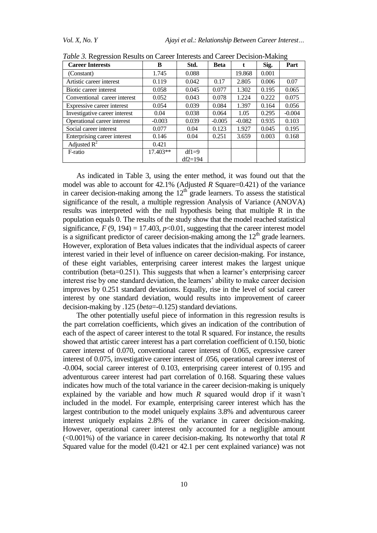| <b>Career Interests</b>       | B        | Std.      | <b>Beta</b> | t        | Sig.  | Part     |
|-------------------------------|----------|-----------|-------------|----------|-------|----------|
| (Constant)                    | 1.745    | 0.088     |             | 19.868   | 0.001 |          |
| Artistic career interest      | 0.119    | 0.042     | 0.17        | 2.805    | 0.006 | 0.07     |
| Biotic career interest        | 0.058    | 0.045     | 0.077       | 1.302    | 0.195 | 0.065    |
| Conventional career interest  | 0.052    | 0.043     | 0.078       | 1.224    | 0.222 | 0.075    |
| Expressive career interest    | 0.054    | 0.039     | 0.084       | 1.397    | 0.164 | 0.056    |
| Investigative career interest | 0.04     | 0.038     | 0.064       | 1.05     | 0.295 | $-0.004$ |
| Operational career interest   | $-0.003$ | 0.039     | $-0.005$    | $-0.082$ | 0.935 | 0.103    |
| Social career interest        | 0.077    | 0.04      | 0.123       | 1.927    | 0.045 | 0.195    |
| Enterprising career interest  | 0.146    | 0.04      | 0.251       | 3.659    | 0.003 | 0.168    |
| Adjusted $R^2$                | 0.421    |           |             |          |       |          |
| F-ratio                       | 17.403** | $df1=9$   |             |          |       |          |
|                               |          | $df2=194$ |             |          |       |          |

*Table 3.* Regression Results on Career Interests and Career Decision-Making

As indicated in Table 3, using the enter method, it was found out that the model was able to account for 42.1% (Adjusted *R* Square=0.421) of the variance in career decision-making among the  $12<sup>th</sup>$  grade learners. To assess the statistical significance of the result, a multiple regression Analysis of Variance (ANOVA) results was interpreted with the null hypothesis being that multiple R in the population equals 0. The results of the study show that the model reached statistical significance,  $F(9, 194) = 17.403$ ,  $p<0.01$ , suggesting that the career interest model is a significant predictor of career decision-making among the  $12<sup>th</sup>$  grade learners. However, exploration of Beta values indicates that the individual aspects of career interest varied in their level of influence on career decision-making. For instance, of these eight variables, enterprising career interest makes the largest unique contribution (beta=0.251). This suggests that when a learner's enterprising career interest rise by one standard deviation, the learners' ability to make career decision improves by 0.251 standard deviations. Equally, rise in the level of social career interest by one standard deviation, would results into improvement of career decision-making by .125 (*beta*=-0.125) standard deviations.

The other potentially useful piece of information in this regression results is the part correlation coefficients, which gives an indication of the contribution of each of the aspect of career interest to the total R squared. For instance, the results showed that artistic career interest has a part correlation coefficient of 0.150, biotic career interest of 0.070, conventional career interest of 0.065, expressive career interest of 0.075, investigative career interest of .056, operational career interest of -0.004, social career interest of 0.103, enterprising career interest of 0.195 and adventurous career interest had part correlation of 0.168. Squaring these values indicates how much of the total variance in the career decision-making is uniquely explained by the variable and how much *R* squared would drop if it wasn't included in the model. For example, enterprising career interest which has the largest contribution to the model uniquely explains 3.8% and adventurous career interest uniquely explains 2.8% of the variance in career decision-making. However, operational career interest only accounted for a negligible amount (<0.001%) of the variance in career decision-making. Its noteworthy that total *R S*quared value for the model (0.421 or 42.1 per cent explained variance) was not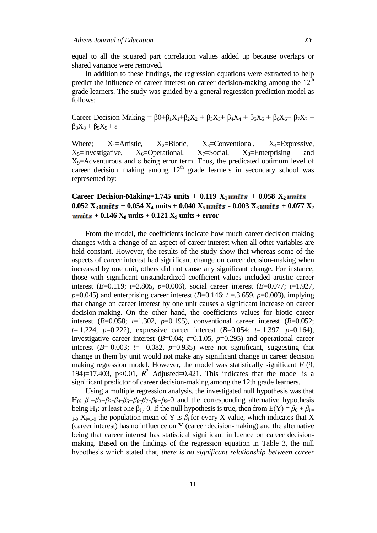equal to all the squared part correlation values added up because overlaps or shared variance were removed.

In addition to these findings, the regression equations were extracted to help predict the influence of career interest on career decision-making among the  $12<sup>th</sup>$ grade learners. The study was guided by a general regression prediction model as follows:

Career Decision-Making =  $\beta 0+\beta_1 X_1+\beta_2 X_2+\beta_3 X_3+\beta_4 X_4+\beta_5 X_5+\beta_6 X_6+\beta_7 X_7 +$  $\beta_8X_8 + \beta_9X_9 + \varepsilon$ 

Where;  $X_1$ =Artistic,  $X_2$ =Biotic,  $X_3$ =Conventional,  $X_4$ =Expressive,  $X_5$ =Investigative,  $X_6$ =Operational,  $X_7$ =Social,  $X_8$ =Enterprising and  $X<sub>9</sub>=$ Adventurous and ε being error term. Thus, the predicated optimum level of career decision making among  $12<sup>th</sup>$  grade learners in secondary school was represented by:

# **Career Decision-Making=1.745 units**  $+$  0.119  $X_1$ *units*  $+$  0.058  $X_2$ *units*  $+$  $0.052$   $X_3$  *units* + 0.054  $X_4$  *units* + 0.040  $X_5$  *units* - 0.003  $X_6$  *units* + 0.077  $X_7$  $\boldsymbol{units} + 0.146 \mathbf{X}_8 \text{ units} + 0.121 \mathbf{X}_9 \text{ units} + \text{error}$

From the model, the coefficients indicate how much career decision making changes with a change of an aspect of career interest when all other variables are held constant. However, the results of the study show that whereas some of the aspects of career interest had significant change on career decision-making when increased by one unit, others did not cause any significant change. For instance, those with significant unstandardized coefficient values included artistic career interest (*B*=0.119; *t*=2.805, *p*=0.006), social career interest (*B*=0.077; *t*=1.927, *p*=0.045) and enterprising career interest (*B*=0.146;  $t = 3.659$ , *p*=0.003), implying that change on career interest by one unit causes a significant increase on career decision-making. On the other hand, the coefficients values for biotic career interest (*B*=0.058; *t*=1.302, *p*=0.195), conventional career interest (*B*=0.052; *t*=.1.224, *p*=0.222), expressive career interest (*B*=0.054; *t*=.1.397, *p*=0.164), investigative career interest  $(B=0.04; t=0.1.05, p=0.295)$  and operational career interest  $(B=0.003; t = -0.082, p=0.935)$  were not significant, suggesting that change in them by unit would not make any significant change in career decision making regression model. However, the model was statistically significant *F* (9, 194)=17.403, p<0.01,  $R^2$  Adjusted=0.421. This indicates that the model is a significant predictor of career decision-making among the 12th grade learners.

Using a multiple regression analysis, the investigated null hypothesis was that H<sub>0</sub>:  $β_1 = β_2 = β_3 = β_4 = β_5 = β_6 = β_7 = β_8 = β_9 = 0$  and the corresponding alternative hypothesis being H<sub>1</sub>: at least one  $\beta_{i \neq 0}$ . If the null hypothesis is true, then from  $E(Y) = \beta_0 + \beta_{i=0}$  $_{1-9}$  X<sub>i=1-9</sub> the population mean of Y is  $\beta_i$  for every X value, which indicates that X (career interest) has no influence on Y (career decision-making) and the alternative being that career interest has statistical significant influence on career decisionmaking. Based on the findings of the regression equation in Table 3, the null hypothesis which stated that, *there is no significant relationship between career*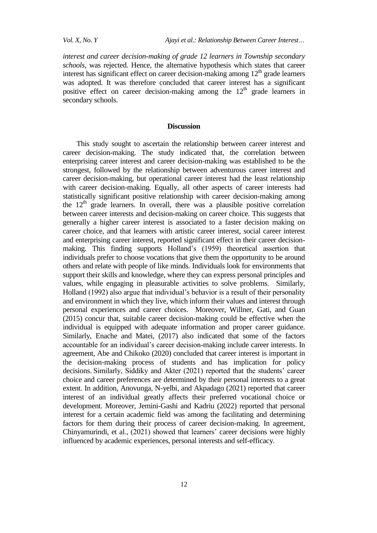*interest and career decision-making of grade 12 learners in Township secondary schools*, was rejected. Hence, the alternative hypothesis which states that career interest has significant effect on career decision-making among  $12<sup>th</sup>$  grade learners was adopted. It was therefore concluded that career interest has a significant positive effect on career decision-making among the  $12<sup>th</sup>$  grade learners in secondary schools.

### **Discussion**

This study sought to ascertain the relationship between career interest and career decision-making. The study indicated that, the correlation between enterprising career interest and career decision-making was established to be the strongest, followed by the relationship between adventurous career interest and career decision-making, but operational career interest had the least relationship with career decision-making. Equally, all other aspects of career interests had statistically significant positive relationship with career decision-making among the  $12<sup>th</sup>$  grade learners. In overall, there was a plausible positive correlation between career interests and decision-making on career choice. This suggests that generally a higher career interest is associated to a faster decision making on career choice, and that learners with artistic career interest, social career interest and enterprising career interest, reported significant effect in their career decisionmaking. This finding supports Holland's (1959) theoretical assertion that individuals prefer to choose vocations that give them the opportunity to be around others and relate with people of like minds. Individuals look for environments that support their skills and knowledge, where they can express personal principles and values, while engaging in pleasurable activities to solve problems. Similarly, Holland (1992) also argue that individual's behavior is a result of their personality and environment in which they live, which inform their values and interest through personal experiences and career choices. Moreover, Willner, Gati, and Guan (2015) concur that, suitable career decision-making could be effective when the individual is equipped with adequate information and proper career guidance. Similarly, Enache and Matei, (2017) also indicated that some of the factors accountable for an individual's career decision-making include career interests. In agreement, Abe and Chikoko (2020) concluded that career interest is important in the decision-making process of students and has implication for policy decisions. Similarly, Siddiky and Akter (2021) reported that the students' career choice and career preferences are determined by their personal interests to a great extent. In addition, Anovunga, N-yelbi, and Akpadago (2021) reported that career interest of an individual greatly affects their preferred vocational choice or development. Moreover, Jemini-Gashi and Kadriu (2022) reported that personal interest for a certain academic field was among the facilitating and determining factors for them during their process of career decision-making. In agreement, Chinyamurindi, et al., (2021) showed that learners' career decisions were highly influenced by academic experiences, personal interests and self-efficacy.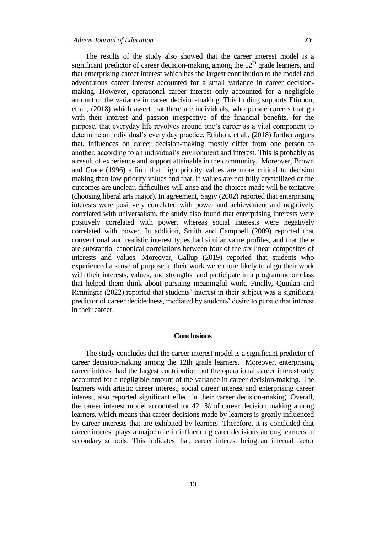The results of the study also showed that the career interest model is a significant predictor of career decision-making among the  $12<sup>th</sup>$  grade learners, and that enterprising career interest which has the largest contribution to the model and adventurous career interest accounted for a small variance in career decisionmaking. However, operational career interest only accounted for a negligible amount of the variance in career decision-making. This finding supports Etiubon, et al., (2018) which assert that there are individuals, who pursue careers that go with their interest and passion irrespective of the financial benefits, for the purpose, that everyday life revolves around one's career as a vital component to determine an individual's every day practice. Etiubon, et al., (2018) further argues that, influences on career decision-making mostly differ from one person to another, according to an individual's environment and interest. This is probably as a result of experience and support attainable in the community. Moreover, Brown and Crace (1996) affirm that high priority values are more critical to decision making than low-priority values and that, if values are not fully crystallized or the outcomes are unclear, difficulties will arise and the choices made will be tentative (choosing liberal arts major). In agreement, Sagiv (2002) reported that enterprising interests were positively correlated with power and achievement and negatively correlated with universalism. the study also found that enterprising interests were positively correlated with power, whereas social interests were negatively correlated with power. In addition, Smith and Campbell (2009) reported that conventional and realistic interest types had similar value profiles, and that there are substantial canonical correlations between four of the six linear composites of interests and values. Moreover, Gallup [\(2019\)](https://link.springer.com/article/10.1007/s10734-021-00804-6#ref-CR20) reported that students who experienced a sense of purpose in their work were more likely to align their work with their interests, values, and strengths and participate in a programme or class that helped them think about pursuing meaningful work. Finally, Quinlan and Renninger (2022) reported that students' interest in their subject was a significant predictor of career decidedness, mediated by students' desire to pursue that interest in their career.

#### **Conclusions**

The study concludes that the career interest model is a significant predictor of career decision-making among the 12th grade learners. Moreover, enterprising career interest had the largest contribution but the operational career interest only accounted for a negligible amount of the variance in career decision-making. The learners with artistic career interest, social career interest and enterprising career interest, also reported significant effect in their career decision-making. Overall, the career interest model accounted for 42.1% of career decision making among learners, which means that career decisions made by learners is greatly influenced by career interests that are exhibited by learners. Therefore, it is concluded that career interest plays a major role in influencing carer decisions among learners in secondary schools. This indicates that, career interest being an internal factor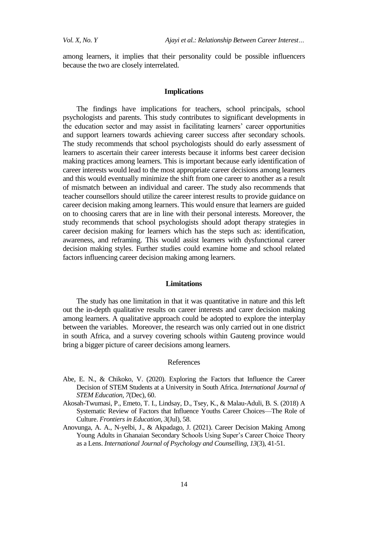among learners, it implies that their personality could be possible influencers because the two are closely interrelated.

#### **Implications**

The findings have implications for teachers, school principals, school psychologists and parents. This study contributes to significant developments in the education sector and may assist in facilitating learners' career opportunities and support learners towards achieving career success after secondary schools. The study recommends that school psychologists should do early assessment of learners to ascertain their career interests because it informs best career decision making practices among learners. This is important because early identification of career interests would lead to the most appropriate career decisions among learners and this would eventually minimize the shift from one career to another as a result of mismatch between an individual and career. The study also recommends that teacher counsellors should utilize the career interest results to provide guidance on career decision making among learners. This would ensure that learners are guided on to choosing carers that are in line with their personal interests. Moreover, the study recommends that school psychologists should adopt therapy strategies in career decision making for learners which has the steps such as: identification, awareness, and reframing. This would assist learners with dysfunctional career decision making styles. Further studies could examine home and school related factors influencing career decision making among learners.

### **Limitations**

The study has one limitation in that it was quantitative in nature and this left out the in-depth qualitative results on career interests and carer decision making among learners. A qualitative approach could be adopted to explore the interplay between the variables. Moreover, the research was only carried out in one district in south Africa, and a survey covering schools within Gauteng province would bring a bigger picture of career decisions among learners.

#### References

- Abe, E. N., & Chikoko, V. (2020). Exploring the Factors that Influence the Career Decision of STEM Students at a University in South Africa. *International Journal of STEM Education, 7*(Dec), 60.
- Akosah-Twumasi, P., Emeto, T. I., Lindsay, D., Tsey, K., & Malau-Aduli, B. S. (2018) A Systematic Review of Factors that Influence Youths Career Choices—The Role of Culture. *Frontiers in Education, 3*(Jul), 58.
- Anovunga, A. A., N-yelbi, J., & Akpadago, J. (2021). Career Decision Making Among Young Adults in Ghanaian Secondary Schools Using Super's Career Choice Theory as a Lens. *International Journal of Psychology and Counselling, 13*(3), 41-51.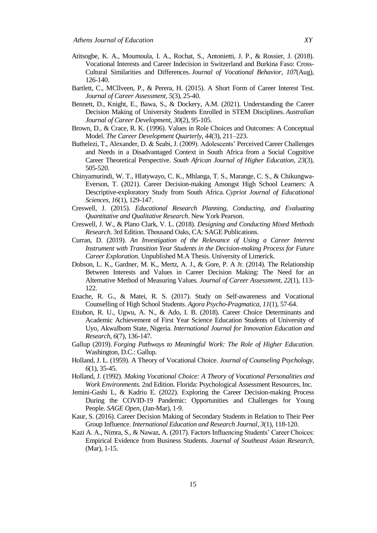- Atitsogbe, K. A., Moumoula, I. A., Rochat, S., Antonietti, J. P., & Rossier, J. (2018). Vocational Interests and Career Indecision in Switzerland and Burkina Faso: Cross-Cultural Similarities and Differences. *Journal of Vocational Behavior, 107*(Aug), 126-140.
- Bartlett, C., MCllveen, P., & Perera, H. (2015). A Short Form of Career Interest Test. *Journal of Career Assessment, 5*(3), 25-40.
- Bennett, D., Knight, E., Bawa, S., & Dockery, A.M. (2021). Understanding the Career Decision Making of University Students Enrolled in STEM Disciplines. *Australian Journal of Career Development*, *30*(2), 95-105.
- Brown, D., & Crace, R. K. (1996). Values in Role Choices and Outcomes: A Conceptual Model. *The Career Development Quarterly, 44*(3), 211–223.
- Buthelezi, T., Alexander, D. & Seabi, J. (2009). Adolescents' Perceived Career Challenges and Needs in a Disadvantaged Context in South Africa from a Social Cognitive Career Theoretical Perspective. *South African Journal of Higher Education, 23*(3), 505-520.
- Chinyamurindi, W. T., Hlatywayo, C. K., Mhlanga, T. S., Marange, C. S., & Chikungwa-Everson, T. (2021). Career Decision-making Amongst High School Learners: A Descriptive-exploratory Study from South Africa. *Cypriot Journal of Educational Sciences*, *16*(1), 129-147.
- Creswell, J. (2015). *Educational Research Planning, Conducting, and Evaluating Quantitative and Qualitative Research*. New York Pearson.
- Creswell, J. W., & Plano Clark, V. L. (2018). *Designing and Conducting Mixed Methods Research*. 3rd Edition. Thousand Oaks, CA: SAGE Publications.
- Curran, D. (2019). *An Investigation of the Relevance of Using a Career Interest Instrument with Transition Year Students in the Decision-making Process for Future Career Exploration*. Unpublished M.A Thesis. University of Limerick.
- Dobson, L. K., Gardner, M. K., Mertz, A. J., & Gore, P. A Jr. (2014). The Relationship Between Interests and Values in Career Decision Making: The Need for an Alternative Method of Measuring Values. *Journal of Career Assessment, 22*(1), 113- 122.
- Enache, R. G., & Matei, R. S. (2017). Study on Self-awareness and Vocational Counselling of High School Students. *Agora Psycho-Pragmatica*, *11*(1), 57-64.
- Etiubon, R. U., Ugwu, A. N., & Ado, I. B. (2018). Career Choice Determinants and Academic Achievement of First Year Science Education Students of University of Uyo, AkwaIbom State, Nigeria. *International Journal for Innovation Education and Research, 6*(7), 136-147.
- Gallup (2019). *Forging Pathways to Meaningful Work: The Role of Higher Education*. Washington, D.C.: Gallup.
- Holland, J. L. (1959). A Theory of Vocational Choice. *Journal of Counseling Psychology, 6*(1), 35-45.
- Holland, J. (1992). *Making Vocational Choice: A Theory of Vocational Personalities and Work Environments.* 2nd Edition. Florida: Psychological Assessment Resources, Inc.
- Jemini-Gashi L, & Kadriu E. (2022). Exploring the Career Decision-making Process During the COVID-19 Pandemic: Opportunities and Challenges for Young People. *SAGE Open*, (Jan-Mar), 1-9.
- Kaur, S. (2016). Career Decision Making of Secondary Students in Relation to Their Peer Group Influence. *International Education and Research Journal, 3*(1), 118-120.
- Kazi A. A., Nimra, S., & Nawaz, A. (2017). Factors Influencing Students' Career Choices: Empirical Evidence from Business Students. *Journal of Southeast Asian Research*, (Mar), 1-15.